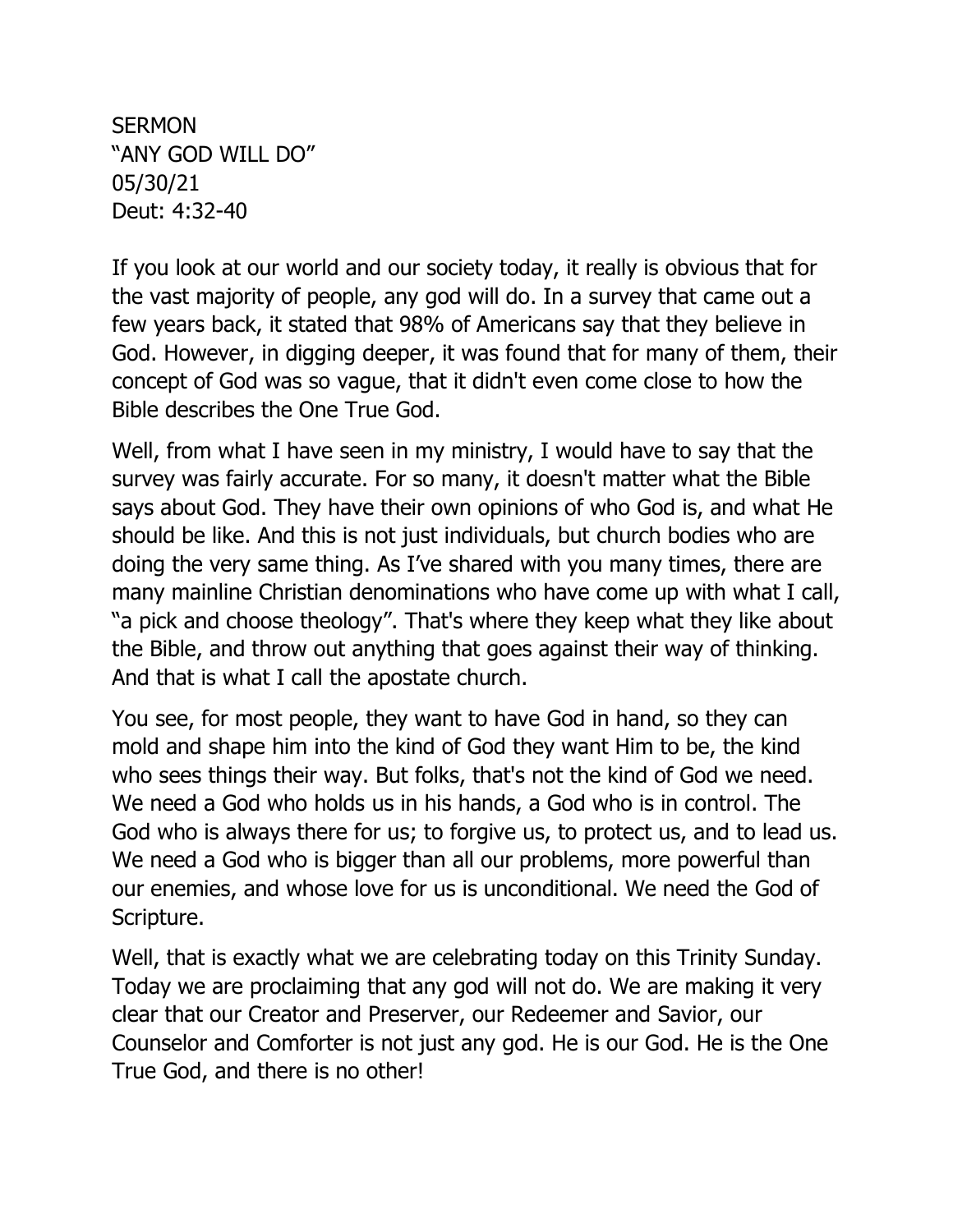**SERMON** "ANY GOD WILL DO" 05/30/21 Deut: 4:32-40

If you look at our world and our society today, it really is obvious that for the vast majority of people, any god will do. In a survey that came out a few years back, it stated that 98% of Americans say that they believe in God. However, in digging deeper, it was found that for many of them, their concept of God was so vague, that it didn't even come close to how the Bible describes the One True God.

Well, from what I have seen in my ministry, I would have to say that the survey was fairly accurate. For so many, it doesn't matter what the Bible says about God. They have their own opinions of who God is, and what He should be like. And this is not just individuals, but church bodies who are doing the very same thing. As I've shared with you many times, there are many mainline Christian denominations who have come up with what I call, "a pick and choose theology". That's where they keep what they like about the Bible, and throw out anything that goes against their way of thinking. And that is what I call the apostate church.

You see, for most people, they want to have God in hand, so they can mold and shape him into the kind of God they want Him to be, the kind who sees things their way. But folks, that's not the kind of God we need. We need a God who holds us in his hands, a God who is in control. The God who is always there for us; to forgive us, to protect us, and to lead us. We need a God who is bigger than all our problems, more powerful than our enemies, and whose love for us is unconditional. We need the God of Scripture.

Well, that is exactly what we are celebrating today on this Trinity Sunday. Today we are proclaiming that any god will not do. We are making it very clear that our Creator and Preserver, our Redeemer and Savior, our Counselor and Comforter is not just any god. He is our God. He is the One True God, and there is no other!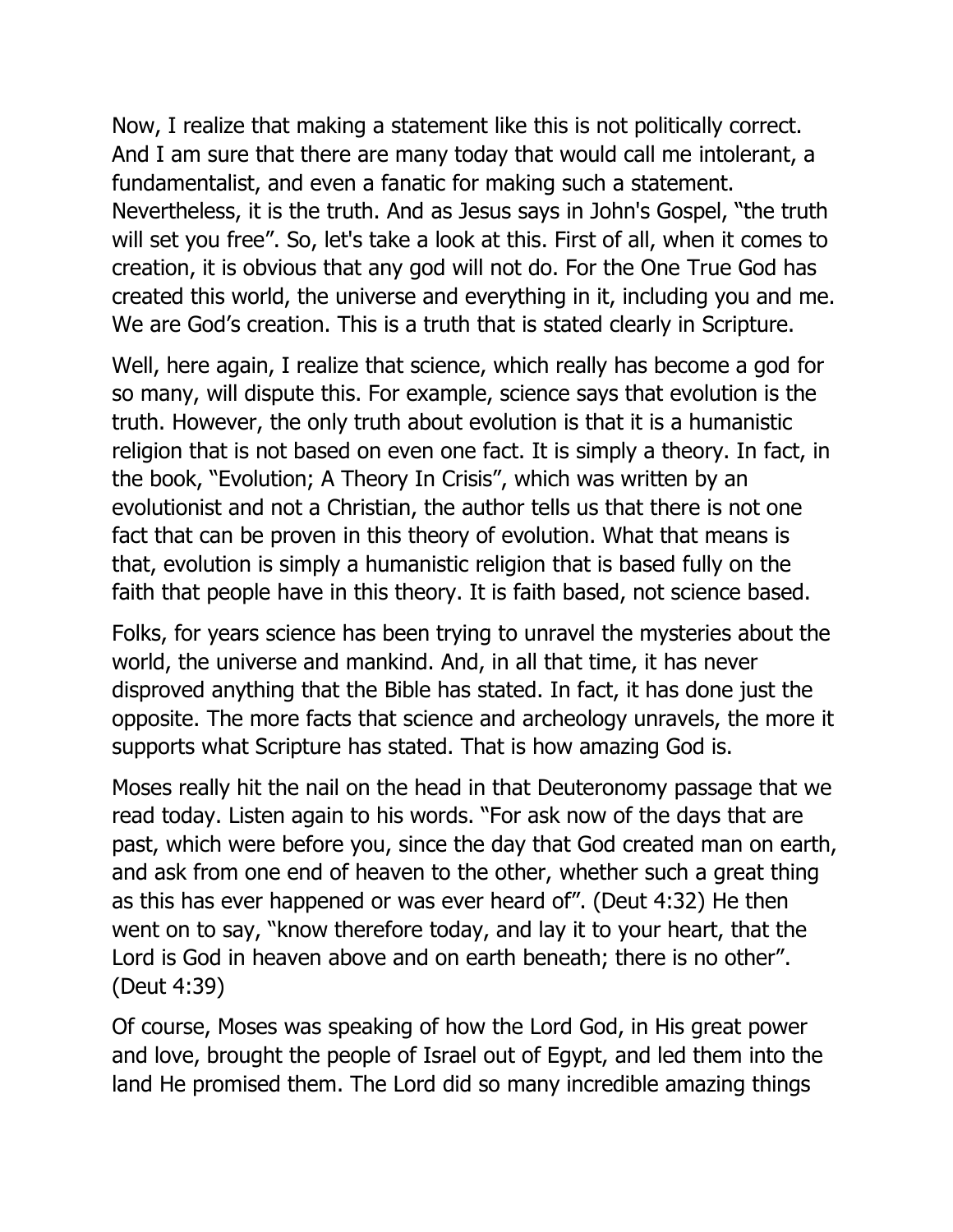Now, I realize that making a statement like this is not politically correct. And I am sure that there are many today that would call me intolerant, a fundamentalist, and even a fanatic for making such a statement. Nevertheless, it is the truth. And as Jesus says in John's Gospel, "the truth will set you free". So, let's take a look at this. First of all, when it comes to creation, it is obvious that any god will not do. For the One True God has created this world, the universe and everything in it, including you and me. We are God's creation. This is a truth that is stated clearly in Scripture.

Well, here again, I realize that science, which really has become a god for so many, will dispute this. For example, science says that evolution is the truth. However, the only truth about evolution is that it is a humanistic religion that is not based on even one fact. It is simply a theory. In fact, in the book, "Evolution; A Theory In Crisis", which was written by an evolutionist and not a Christian, the author tells us that there is not one fact that can be proven in this theory of evolution. What that means is that, evolution is simply a humanistic religion that is based fully on the faith that people have in this theory. It is faith based, not science based.

Folks, for years science has been trying to unravel the mysteries about the world, the universe and mankind. And, in all that time, it has never disproved anything that the Bible has stated. In fact, it has done just the opposite. The more facts that science and archeology unravels, the more it supports what Scripture has stated. That is how amazing God is.

Moses really hit the nail on the head in that Deuteronomy passage that we read today. Listen again to his words. "For ask now of the days that are past, which were before you, since the day that God created man on earth, and ask from one end of heaven to the other, whether such a great thing as this has ever happened or was ever heard of". (Deut 4:32) He then went on to say, "know therefore today, and lay it to your heart, that the Lord is God in heaven above and on earth beneath; there is no other". (Deut 4:39)

Of course, Moses was speaking of how the Lord God, in His great power and love, brought the people of Israel out of Egypt, and led them into the land He promised them. The Lord did so many incredible amazing things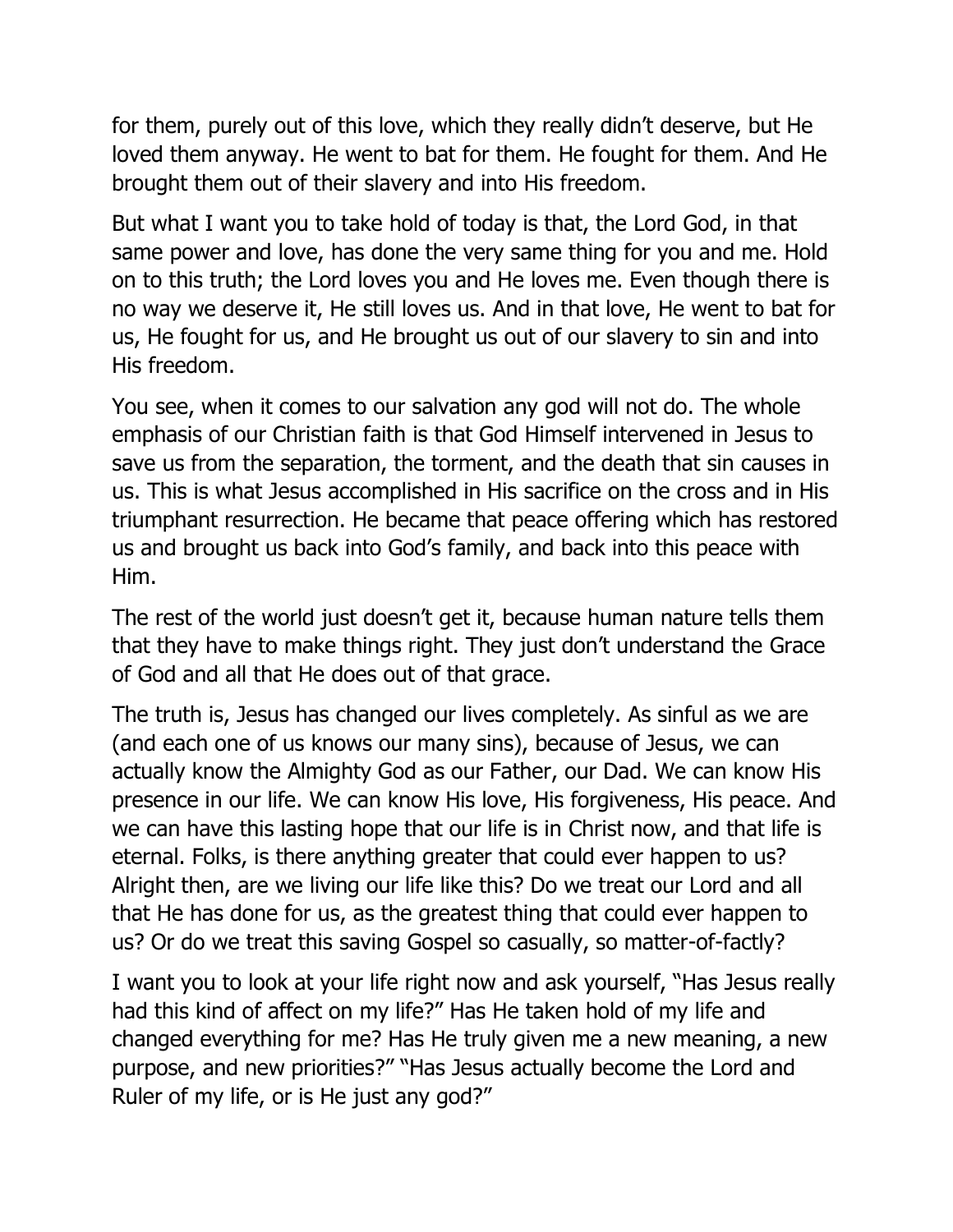for them, purely out of this love, which they really didn't deserve, but He loved them anyway. He went to bat for them. He fought for them. And He brought them out of their slavery and into His freedom.

But what I want you to take hold of today is that, the Lord God, in that same power and love, has done the very same thing for you and me. Hold on to this truth; the Lord loves you and He loves me. Even though there is no way we deserve it, He still loves us. And in that love, He went to bat for us, He fought for us, and He brought us out of our slavery to sin and into His freedom.

You see, when it comes to our salvation any god will not do. The whole emphasis of our Christian faith is that God Himself intervened in Jesus to save us from the separation, the torment, and the death that sin causes in us. This is what Jesus accomplished in His sacrifice on the cross and in His triumphant resurrection. He became that peace offering which has restored us and brought us back into God's family, and back into this peace with Him.

The rest of the world just doesn't get it, because human nature tells them that they have to make things right. They just don't understand the Grace of God and all that He does out of that grace.

The truth is, Jesus has changed our lives completely. As sinful as we are (and each one of us knows our many sins), because of Jesus, we can actually know the Almighty God as our Father, our Dad. We can know His presence in our life. We can know His love, His forgiveness, His peace. And we can have this lasting hope that our life is in Christ now, and that life is eternal. Folks, is there anything greater that could ever happen to us? Alright then, are we living our life like this? Do we treat our Lord and all that He has done for us, as the greatest thing that could ever happen to us? Or do we treat this saving Gospel so casually, so matter-of-factly?

I want you to look at your life right now and ask yourself, "Has Jesus really had this kind of affect on my life?" Has He taken hold of my life and changed everything for me? Has He truly given me a new meaning, a new purpose, and new priorities?" "Has Jesus actually become the Lord and Ruler of my life, or is He just any god?"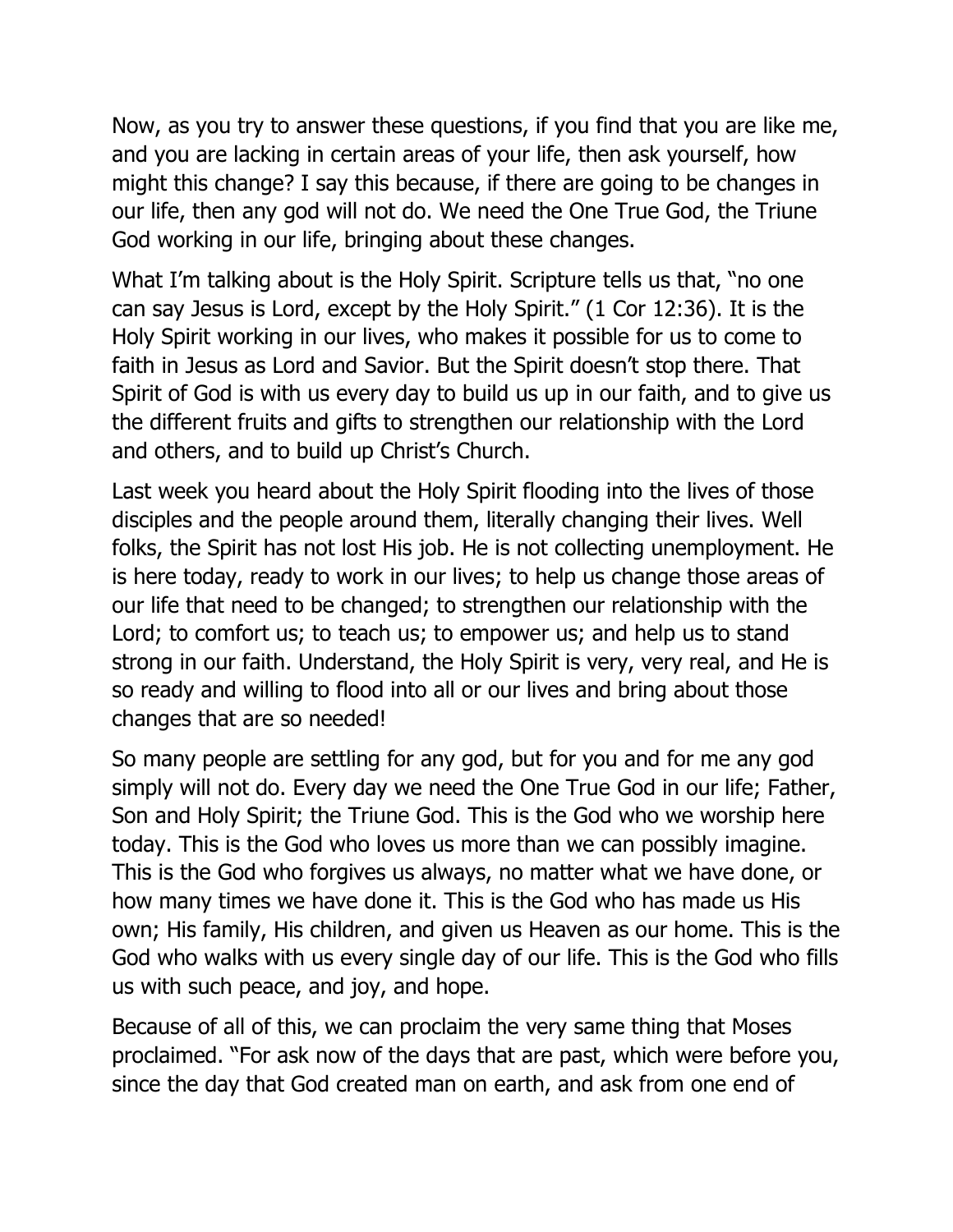Now, as you try to answer these questions, if you find that you are like me, and you are lacking in certain areas of your life, then ask yourself, how might this change? I say this because, if there are going to be changes in our life, then any god will not do. We need the One True God, the Triune God working in our life, bringing about these changes.

What I'm talking about is the Holy Spirit. Scripture tells us that, "no one can say Jesus is Lord, except by the Holy Spirit." (1 Cor 12:36). It is the Holy Spirit working in our lives, who makes it possible for us to come to faith in Jesus as Lord and Savior. But the Spirit doesn't stop there. That Spirit of God is with us every day to build us up in our faith, and to give us the different fruits and gifts to strengthen our relationship with the Lord and others, and to build up Christ's Church.

Last week you heard about the Holy Spirit flooding into the lives of those disciples and the people around them, literally changing their lives. Well folks, the Spirit has not lost His job. He is not collecting unemployment. He is here today, ready to work in our lives; to help us change those areas of our life that need to be changed; to strengthen our relationship with the Lord; to comfort us; to teach us; to empower us; and help us to stand strong in our faith. Understand, the Holy Spirit is very, very real, and He is so ready and willing to flood into all or our lives and bring about those changes that are so needed!

So many people are settling for any god, but for you and for me any god simply will not do. Every day we need the One True God in our life; Father, Son and Holy Spirit; the Triune God. This is the God who we worship here today. This is the God who loves us more than we can possibly imagine. This is the God who forgives us always, no matter what we have done, or how many times we have done it. This is the God who has made us His own; His family, His children, and given us Heaven as our home. This is the God who walks with us every single day of our life. This is the God who fills us with such peace, and joy, and hope.

Because of all of this, we can proclaim the very same thing that Moses proclaimed. "For ask now of the days that are past, which were before you, since the day that God created man on earth, and ask from one end of